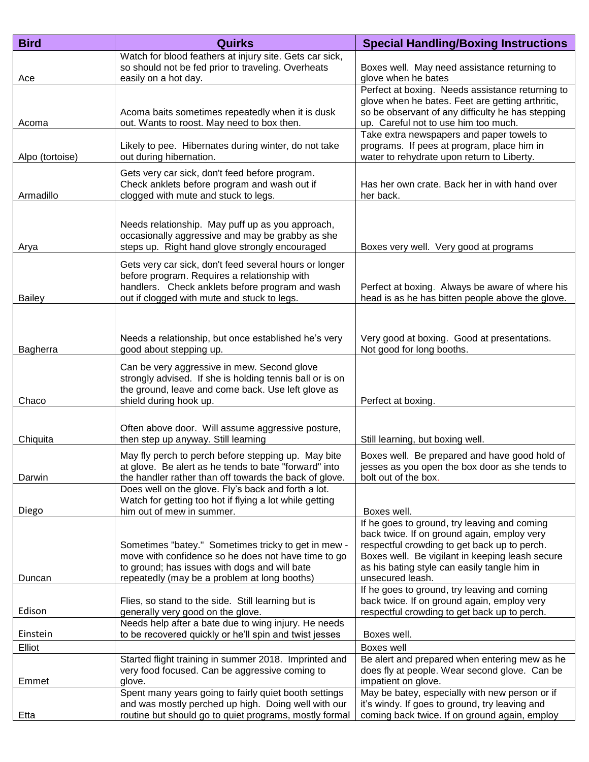| <b>Quirks</b>                                                                                                | <b>Special Handling/Boxing Instructions</b>                                                                                                                                                                                                                                                                                                                                                                                                                                                                                                                                                                                                                                                                                                                                                                                                                                                                                                                                                                                                                                                                                                                                                                                                                                       |
|--------------------------------------------------------------------------------------------------------------|-----------------------------------------------------------------------------------------------------------------------------------------------------------------------------------------------------------------------------------------------------------------------------------------------------------------------------------------------------------------------------------------------------------------------------------------------------------------------------------------------------------------------------------------------------------------------------------------------------------------------------------------------------------------------------------------------------------------------------------------------------------------------------------------------------------------------------------------------------------------------------------------------------------------------------------------------------------------------------------------------------------------------------------------------------------------------------------------------------------------------------------------------------------------------------------------------------------------------------------------------------------------------------------|
| Watch for blood feathers at injury site. Gets car sick,                                                      |                                                                                                                                                                                                                                                                                                                                                                                                                                                                                                                                                                                                                                                                                                                                                                                                                                                                                                                                                                                                                                                                                                                                                                                                                                                                                   |
| so should not be fed prior to traveling. Overheats                                                           | Boxes well. May need assistance returning to                                                                                                                                                                                                                                                                                                                                                                                                                                                                                                                                                                                                                                                                                                                                                                                                                                                                                                                                                                                                                                                                                                                                                                                                                                      |
|                                                                                                              | glove when he bates                                                                                                                                                                                                                                                                                                                                                                                                                                                                                                                                                                                                                                                                                                                                                                                                                                                                                                                                                                                                                                                                                                                                                                                                                                                               |
|                                                                                                              | Perfect at boxing. Needs assistance returning to                                                                                                                                                                                                                                                                                                                                                                                                                                                                                                                                                                                                                                                                                                                                                                                                                                                                                                                                                                                                                                                                                                                                                                                                                                  |
|                                                                                                              | glove when he bates. Feet are getting arthritic,<br>so be observant of any difficulty he has stepping                                                                                                                                                                                                                                                                                                                                                                                                                                                                                                                                                                                                                                                                                                                                                                                                                                                                                                                                                                                                                                                                                                                                                                             |
|                                                                                                              | up. Careful not to use him too much.                                                                                                                                                                                                                                                                                                                                                                                                                                                                                                                                                                                                                                                                                                                                                                                                                                                                                                                                                                                                                                                                                                                                                                                                                                              |
|                                                                                                              | Take extra newspapers and paper towels to                                                                                                                                                                                                                                                                                                                                                                                                                                                                                                                                                                                                                                                                                                                                                                                                                                                                                                                                                                                                                                                                                                                                                                                                                                         |
|                                                                                                              | programs. If pees at program, place him in                                                                                                                                                                                                                                                                                                                                                                                                                                                                                                                                                                                                                                                                                                                                                                                                                                                                                                                                                                                                                                                                                                                                                                                                                                        |
| out during hibernation.                                                                                      | water to rehydrate upon return to Liberty.                                                                                                                                                                                                                                                                                                                                                                                                                                                                                                                                                                                                                                                                                                                                                                                                                                                                                                                                                                                                                                                                                                                                                                                                                                        |
|                                                                                                              |                                                                                                                                                                                                                                                                                                                                                                                                                                                                                                                                                                                                                                                                                                                                                                                                                                                                                                                                                                                                                                                                                                                                                                                                                                                                                   |
| Check anklets before program and wash out if                                                                 | Has her own crate. Back her in with hand over                                                                                                                                                                                                                                                                                                                                                                                                                                                                                                                                                                                                                                                                                                                                                                                                                                                                                                                                                                                                                                                                                                                                                                                                                                     |
| clogged with mute and stuck to legs.                                                                         | her back.                                                                                                                                                                                                                                                                                                                                                                                                                                                                                                                                                                                                                                                                                                                                                                                                                                                                                                                                                                                                                                                                                                                                                                                                                                                                         |
|                                                                                                              |                                                                                                                                                                                                                                                                                                                                                                                                                                                                                                                                                                                                                                                                                                                                                                                                                                                                                                                                                                                                                                                                                                                                                                                                                                                                                   |
|                                                                                                              |                                                                                                                                                                                                                                                                                                                                                                                                                                                                                                                                                                                                                                                                                                                                                                                                                                                                                                                                                                                                                                                                                                                                                                                                                                                                                   |
| occasionally aggressive and may be grabby as she                                                             |                                                                                                                                                                                                                                                                                                                                                                                                                                                                                                                                                                                                                                                                                                                                                                                                                                                                                                                                                                                                                                                                                                                                                                                                                                                                                   |
| steps up. Right hand glove strongly encouraged                                                               | Boxes very well. Very good at programs                                                                                                                                                                                                                                                                                                                                                                                                                                                                                                                                                                                                                                                                                                                                                                                                                                                                                                                                                                                                                                                                                                                                                                                                                                            |
|                                                                                                              |                                                                                                                                                                                                                                                                                                                                                                                                                                                                                                                                                                                                                                                                                                                                                                                                                                                                                                                                                                                                                                                                                                                                                                                                                                                                                   |
| before program. Requires a relationship with                                                                 |                                                                                                                                                                                                                                                                                                                                                                                                                                                                                                                                                                                                                                                                                                                                                                                                                                                                                                                                                                                                                                                                                                                                                                                                                                                                                   |
| handlers. Check anklets before program and wash                                                              | Perfect at boxing. Always be aware of where his                                                                                                                                                                                                                                                                                                                                                                                                                                                                                                                                                                                                                                                                                                                                                                                                                                                                                                                                                                                                                                                                                                                                                                                                                                   |
|                                                                                                              | head is as he has bitten people above the glove.                                                                                                                                                                                                                                                                                                                                                                                                                                                                                                                                                                                                                                                                                                                                                                                                                                                                                                                                                                                                                                                                                                                                                                                                                                  |
|                                                                                                              |                                                                                                                                                                                                                                                                                                                                                                                                                                                                                                                                                                                                                                                                                                                                                                                                                                                                                                                                                                                                                                                                                                                                                                                                                                                                                   |
|                                                                                                              |                                                                                                                                                                                                                                                                                                                                                                                                                                                                                                                                                                                                                                                                                                                                                                                                                                                                                                                                                                                                                                                                                                                                                                                                                                                                                   |
|                                                                                                              | Very good at boxing. Good at presentations.                                                                                                                                                                                                                                                                                                                                                                                                                                                                                                                                                                                                                                                                                                                                                                                                                                                                                                                                                                                                                                                                                                                                                                                                                                       |
|                                                                                                              | Not good for long booths.                                                                                                                                                                                                                                                                                                                                                                                                                                                                                                                                                                                                                                                                                                                                                                                                                                                                                                                                                                                                                                                                                                                                                                                                                                                         |
| Can be very aggressive in mew. Second glove                                                                  |                                                                                                                                                                                                                                                                                                                                                                                                                                                                                                                                                                                                                                                                                                                                                                                                                                                                                                                                                                                                                                                                                                                                                                                                                                                                                   |
| strongly advised. If she is holding tennis ball or is on                                                     |                                                                                                                                                                                                                                                                                                                                                                                                                                                                                                                                                                                                                                                                                                                                                                                                                                                                                                                                                                                                                                                                                                                                                                                                                                                                                   |
|                                                                                                              |                                                                                                                                                                                                                                                                                                                                                                                                                                                                                                                                                                                                                                                                                                                                                                                                                                                                                                                                                                                                                                                                                                                                                                                                                                                                                   |
|                                                                                                              | Perfect at boxing.                                                                                                                                                                                                                                                                                                                                                                                                                                                                                                                                                                                                                                                                                                                                                                                                                                                                                                                                                                                                                                                                                                                                                                                                                                                                |
|                                                                                                              |                                                                                                                                                                                                                                                                                                                                                                                                                                                                                                                                                                                                                                                                                                                                                                                                                                                                                                                                                                                                                                                                                                                                                                                                                                                                                   |
|                                                                                                              | Still learning, but boxing well.                                                                                                                                                                                                                                                                                                                                                                                                                                                                                                                                                                                                                                                                                                                                                                                                                                                                                                                                                                                                                                                                                                                                                                                                                                                  |
|                                                                                                              |                                                                                                                                                                                                                                                                                                                                                                                                                                                                                                                                                                                                                                                                                                                                                                                                                                                                                                                                                                                                                                                                                                                                                                                                                                                                                   |
|                                                                                                              | Boxes well. Be prepared and have good hold of                                                                                                                                                                                                                                                                                                                                                                                                                                                                                                                                                                                                                                                                                                                                                                                                                                                                                                                                                                                                                                                                                                                                                                                                                                     |
|                                                                                                              | jesses as you open the box door as she tends to<br>bolt out of the box.                                                                                                                                                                                                                                                                                                                                                                                                                                                                                                                                                                                                                                                                                                                                                                                                                                                                                                                                                                                                                                                                                                                                                                                                           |
|                                                                                                              |                                                                                                                                                                                                                                                                                                                                                                                                                                                                                                                                                                                                                                                                                                                                                                                                                                                                                                                                                                                                                                                                                                                                                                                                                                                                                   |
| Watch for getting too hot if flying a lot while getting                                                      |                                                                                                                                                                                                                                                                                                                                                                                                                                                                                                                                                                                                                                                                                                                                                                                                                                                                                                                                                                                                                                                                                                                                                                                                                                                                                   |
| him out of mew in summer.                                                                                    | Boxes well.                                                                                                                                                                                                                                                                                                                                                                                                                                                                                                                                                                                                                                                                                                                                                                                                                                                                                                                                                                                                                                                                                                                                                                                                                                                                       |
|                                                                                                              | If he goes to ground, try leaving and coming                                                                                                                                                                                                                                                                                                                                                                                                                                                                                                                                                                                                                                                                                                                                                                                                                                                                                                                                                                                                                                                                                                                                                                                                                                      |
|                                                                                                              | back twice. If on ground again, employ very<br>respectful crowding to get back up to perch.                                                                                                                                                                                                                                                                                                                                                                                                                                                                                                                                                                                                                                                                                                                                                                                                                                                                                                                                                                                                                                                                                                                                                                                       |
|                                                                                                              | Boxes well. Be vigilant in keeping leash secure                                                                                                                                                                                                                                                                                                                                                                                                                                                                                                                                                                                                                                                                                                                                                                                                                                                                                                                                                                                                                                                                                                                                                                                                                                   |
| to ground; has issues with dogs and will bate                                                                | as his bating style can easily tangle him in                                                                                                                                                                                                                                                                                                                                                                                                                                                                                                                                                                                                                                                                                                                                                                                                                                                                                                                                                                                                                                                                                                                                                                                                                                      |
| repeatedly (may be a problem at long booths)                                                                 | unsecured leash.                                                                                                                                                                                                                                                                                                                                                                                                                                                                                                                                                                                                                                                                                                                                                                                                                                                                                                                                                                                                                                                                                                                                                                                                                                                                  |
|                                                                                                              | If he goes to ground, try leaving and coming                                                                                                                                                                                                                                                                                                                                                                                                                                                                                                                                                                                                                                                                                                                                                                                                                                                                                                                                                                                                                                                                                                                                                                                                                                      |
|                                                                                                              | back twice. If on ground again, employ very                                                                                                                                                                                                                                                                                                                                                                                                                                                                                                                                                                                                                                                                                                                                                                                                                                                                                                                                                                                                                                                                                                                                                                                                                                       |
|                                                                                                              | respectful crowding to get back up to perch.                                                                                                                                                                                                                                                                                                                                                                                                                                                                                                                                                                                                                                                                                                                                                                                                                                                                                                                                                                                                                                                                                                                                                                                                                                      |
|                                                                                                              | Boxes well.                                                                                                                                                                                                                                                                                                                                                                                                                                                                                                                                                                                                                                                                                                                                                                                                                                                                                                                                                                                                                                                                                                                                                                                                                                                                       |
|                                                                                                              | Boxes well                                                                                                                                                                                                                                                                                                                                                                                                                                                                                                                                                                                                                                                                                                                                                                                                                                                                                                                                                                                                                                                                                                                                                                                                                                                                        |
|                                                                                                              | Be alert and prepared when entering mew as he                                                                                                                                                                                                                                                                                                                                                                                                                                                                                                                                                                                                                                                                                                                                                                                                                                                                                                                                                                                                                                                                                                                                                                                                                                     |
| very food focused. Can be aggressive coming to                                                               | does fly at people. Wear second glove. Can be                                                                                                                                                                                                                                                                                                                                                                                                                                                                                                                                                                                                                                                                                                                                                                                                                                                                                                                                                                                                                                                                                                                                                                                                                                     |
|                                                                                                              |                                                                                                                                                                                                                                                                                                                                                                                                                                                                                                                                                                                                                                                                                                                                                                                                                                                                                                                                                                                                                                                                                                                                                                                                                                                                                   |
| glove.                                                                                                       | impatient on glove.                                                                                                                                                                                                                                                                                                                                                                                                                                                                                                                                                                                                                                                                                                                                                                                                                                                                                                                                                                                                                                                                                                                                                                                                                                                               |
| Spent many years going to fairly quiet booth settings<br>and was mostly perched up high. Doing well with our | May be batey, especially with new person or if<br>it's windy. If goes to ground, try leaving and                                                                                                                                                                                                                                                                                                                                                                                                                                                                                                                                                                                                                                                                                                                                                                                                                                                                                                                                                                                                                                                                                                                                                                                  |
|                                                                                                              | easily on a hot day.<br>Acoma baits sometimes repeatedly when it is dusk<br>out. Wants to roost. May need to box then.<br>Likely to pee. Hibernates during winter, do not take<br>Gets very car sick, don't feed before program.<br>Needs relationship. May puff up as you approach,<br>Gets very car sick, don't feed several hours or longer<br>out if clogged with mute and stuck to legs.<br>Needs a relationship, but once established he's very<br>good about stepping up.<br>the ground, leave and come back. Use left glove as<br>shield during hook up.<br>Often above door. Will assume aggressive posture,<br>then step up anyway. Still learning<br>May fly perch to perch before stepping up. May bite<br>at glove. Be alert as he tends to bate "forward" into<br>the handler rather than off towards the back of glove.<br>Does well on the glove. Fly's back and forth a lot.<br>Sometimes "batey." Sometimes tricky to get in mew -<br>move with confidence so he does not have time to go<br>Flies, so stand to the side. Still learning but is<br>generally very good on the glove.<br>Needs help after a bate due to wing injury. He needs<br>to be recovered quickly or he'll spin and twist jesses<br>Started flight training in summer 2018. Imprinted and |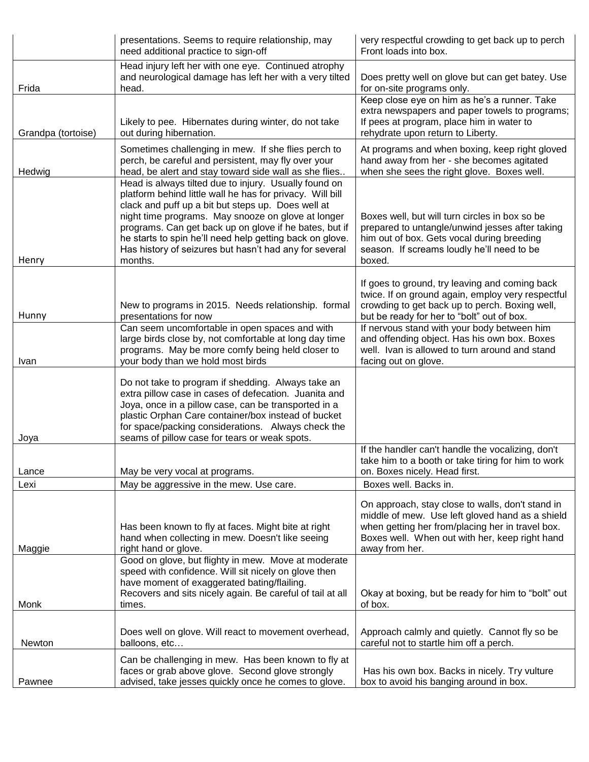|                    | presentations. Seems to require relationship, may<br>need additional practice to sign-off                                                                                                                                                                                                                                                                                                                                 | very respectful crowding to get back up to perch<br>Front loads into box.                                                                                                                                                   |
|--------------------|---------------------------------------------------------------------------------------------------------------------------------------------------------------------------------------------------------------------------------------------------------------------------------------------------------------------------------------------------------------------------------------------------------------------------|-----------------------------------------------------------------------------------------------------------------------------------------------------------------------------------------------------------------------------|
| Frida              | Head injury left her with one eye. Continued atrophy<br>and neurological damage has left her with a very tilted<br>head.                                                                                                                                                                                                                                                                                                  | Does pretty well on glove but can get batey. Use<br>for on-site programs only.                                                                                                                                              |
|                    | Likely to pee. Hibernates during winter, do not take                                                                                                                                                                                                                                                                                                                                                                      | Keep close eye on him as he's a runner. Take<br>extra newspapers and paper towels to programs;<br>If pees at program, place him in water to                                                                                 |
| Grandpa (tortoise) | out during hibernation.                                                                                                                                                                                                                                                                                                                                                                                                   | rehydrate upon return to Liberty.                                                                                                                                                                                           |
| Hedwig             | Sometimes challenging in mew. If she flies perch to<br>perch, be careful and persistent, may fly over your<br>head, be alert and stay toward side wall as she flies                                                                                                                                                                                                                                                       | At programs and when boxing, keep right gloved<br>hand away from her - she becomes agitated<br>when she sees the right glove. Boxes well.                                                                                   |
| Henry              | Head is always tilted due to injury. Usually found on<br>platform behind little wall he has for privacy. Will bill<br>clack and puff up a bit but steps up. Does well at<br>night time programs. May snooze on glove at longer<br>programs. Can get back up on glove if he bates, but if<br>he starts to spin he'll need help getting back on glove.<br>Has history of seizures but hasn't had any for several<br>months. | Boxes well, but will turn circles in box so be<br>prepared to untangle/unwind jesses after taking<br>him out of box. Gets vocal during breeding<br>season. If screams loudly he'll need to be<br>boxed.                     |
| Hunny              | New to programs in 2015. Needs relationship. formal<br>presentations for now                                                                                                                                                                                                                                                                                                                                              | If goes to ground, try leaving and coming back<br>twice. If on ground again, employ very respectful<br>crowding to get back up to perch. Boxing well,<br>but be ready for her to "bolt" out of box.                         |
| Ivan               | Can seem uncomfortable in open spaces and with<br>large birds close by, not comfortable at long day time<br>programs. May be more comfy being held closer to<br>your body than we hold most birds                                                                                                                                                                                                                         | If nervous stand with your body between him<br>and offending object. Has his own box. Boxes<br>well. Ivan is allowed to turn around and stand<br>facing out on glove.                                                       |
| Joya               | Do not take to program if shedding. Always take an<br>extra pillow case in cases of defecation. Juanita and<br>Joya, once in a pillow case, can be transported in a<br>plastic Orphan Care container/box instead of bucket<br>for space/packing considerations. Always check the<br>seams of pillow case for tears or weak spots.                                                                                         |                                                                                                                                                                                                                             |
| Lance              | May be very vocal at programs.                                                                                                                                                                                                                                                                                                                                                                                            | If the handler can't handle the vocalizing, don't<br>take him to a booth or take tiring for him to work<br>on. Boxes nicely. Head first.                                                                                    |
| Lexi               | May be aggressive in the mew. Use care.                                                                                                                                                                                                                                                                                                                                                                                   | Boxes well. Backs in.                                                                                                                                                                                                       |
| Maggie             | Has been known to fly at faces. Might bite at right<br>hand when collecting in mew. Doesn't like seeing<br>right hand or glove.                                                                                                                                                                                                                                                                                           | On approach, stay close to walls, don't stand in<br>middle of mew. Use left gloved hand as a shield<br>when getting her from/placing her in travel box.<br>Boxes well. When out with her, keep right hand<br>away from her. |
|                    | Good on glove, but flighty in mew. Move at moderate<br>speed with confidence. Will sit nicely on glove then<br>have moment of exaggerated bating/flailing.<br>Recovers and sits nicely again. Be careful of tail at all                                                                                                                                                                                                   | Okay at boxing, but be ready for him to "bolt" out                                                                                                                                                                          |
| Monk               | times.                                                                                                                                                                                                                                                                                                                                                                                                                    | of box.                                                                                                                                                                                                                     |
| Newton             | Does well on glove. Will react to movement overhead,<br>balloons, etc                                                                                                                                                                                                                                                                                                                                                     | Approach calmly and quietly. Cannot fly so be<br>careful not to startle him off a perch.                                                                                                                                    |
| Pawnee             | Can be challenging in mew. Has been known to fly at<br>faces or grab above glove. Second glove strongly<br>advised, take jesses quickly once he comes to glove.                                                                                                                                                                                                                                                           | Has his own box. Backs in nicely. Try vulture<br>box to avoid his banging around in box.                                                                                                                                    |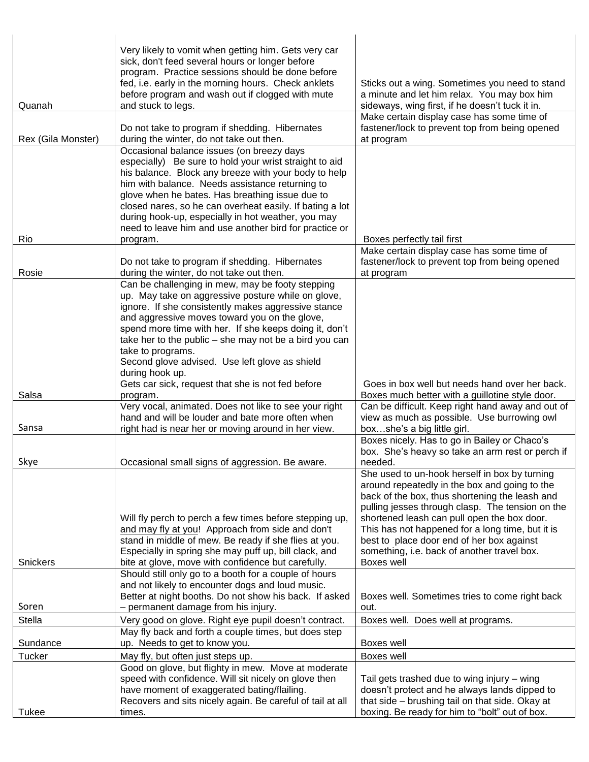| Quanah             | Very likely to vomit when getting him. Gets very car<br>sick, don't feed several hours or longer before<br>program. Practice sessions should be done before<br>fed, i.e. early in the morning hours. Check anklets<br>before program and wash out if clogged with mute<br>and stuck to legs.                                                                                                                                                              | Sticks out a wing. Sometimes you need to stand<br>a minute and let him relax. You may box him<br>sideways, wing first, if he doesn't tuck it in.                                                                                                                                                                                                                                                                             |
|--------------------|-----------------------------------------------------------------------------------------------------------------------------------------------------------------------------------------------------------------------------------------------------------------------------------------------------------------------------------------------------------------------------------------------------------------------------------------------------------|------------------------------------------------------------------------------------------------------------------------------------------------------------------------------------------------------------------------------------------------------------------------------------------------------------------------------------------------------------------------------------------------------------------------------|
|                    |                                                                                                                                                                                                                                                                                                                                                                                                                                                           | Make certain display case has some time of                                                                                                                                                                                                                                                                                                                                                                                   |
| Rex (Gila Monster) | Do not take to program if shedding. Hibernates<br>during the winter, do not take out then.                                                                                                                                                                                                                                                                                                                                                                | fastener/lock to prevent top from being opened<br>at program                                                                                                                                                                                                                                                                                                                                                                 |
| Rio                | Occasional balance issues (on breezy days<br>especially) Be sure to hold your wrist straight to aid<br>his balance. Block any breeze with your body to help<br>him with balance. Needs assistance returning to<br>glove when he bates. Has breathing issue due to<br>closed nares, so he can overheat easily. If bating a lot<br>during hook-up, especially in hot weather, you may<br>need to leave him and use another bird for practice or<br>program. | Boxes perfectly tail first                                                                                                                                                                                                                                                                                                                                                                                                   |
|                    |                                                                                                                                                                                                                                                                                                                                                                                                                                                           | Make certain display case has some time of                                                                                                                                                                                                                                                                                                                                                                                   |
| Rosie              | Do not take to program if shedding. Hibernates<br>during the winter, do not take out then.                                                                                                                                                                                                                                                                                                                                                                | fastener/lock to prevent top from being opened<br>at program                                                                                                                                                                                                                                                                                                                                                                 |
|                    | Can be challenging in mew, may be footy stepping<br>up. May take on aggressive posture while on glove,<br>ignore. If she consistently makes aggressive stance<br>and aggressive moves toward you on the glove,<br>spend more time with her. If she keeps doing it, don't<br>take her to the public - she may not be a bird you can<br>take to programs.<br>Second glove advised. Use left glove as shield<br>during hook up.                              |                                                                                                                                                                                                                                                                                                                                                                                                                              |
| Salsa              | Gets car sick, request that she is not fed before<br>program.                                                                                                                                                                                                                                                                                                                                                                                             | Goes in box well but needs hand over her back.<br>Boxes much better with a guillotine style door.                                                                                                                                                                                                                                                                                                                            |
| Sansa              | Very vocal, animated. Does not like to see your right<br>hand and will be louder and bate more often when<br>right had is near her or moving around in her view.                                                                                                                                                                                                                                                                                          | Can be difficult. Keep right hand away and out of<br>view as much as possible. Use burrowing owl<br>boxshe's a big little girl.                                                                                                                                                                                                                                                                                              |
|                    |                                                                                                                                                                                                                                                                                                                                                                                                                                                           | Boxes nicely. Has to go in Bailey or Chaco's<br>box. She's heavy so take an arm rest or perch if                                                                                                                                                                                                                                                                                                                             |
| Skye<br>Snickers   | Occasional small signs of aggression. Be aware.<br>Will fly perch to perch a few times before stepping up,<br>and may fly at you! Approach from side and don't<br>stand in middle of mew. Be ready if she flies at you.<br>Especially in spring she may puff up, bill clack, and<br>bite at glove, move with confidence but carefully.                                                                                                                    | needed.<br>She used to un-hook herself in box by turning<br>around repeatedly in the box and going to the<br>back of the box, thus shortening the leash and<br>pulling jesses through clasp. The tension on the<br>shortened leash can pull open the box door.<br>This has not happened for a long time, but it is<br>best to place door end of her box against<br>something, i.e. back of another travel box.<br>Boxes well |
|                    | Should still only go to a booth for a couple of hours<br>and not likely to encounter dogs and loud music.<br>Better at night booths. Do not show his back. If asked                                                                                                                                                                                                                                                                                       | Boxes well. Sometimes tries to come right back                                                                                                                                                                                                                                                                                                                                                                               |
| Soren              | - permanent damage from his injury.                                                                                                                                                                                                                                                                                                                                                                                                                       | out.                                                                                                                                                                                                                                                                                                                                                                                                                         |
| Stella             | Very good on glove. Right eye pupil doesn't contract.<br>May fly back and forth a couple times, but does step                                                                                                                                                                                                                                                                                                                                             | Boxes well. Does well at programs.                                                                                                                                                                                                                                                                                                                                                                                           |
| Sundance           | up. Needs to get to know you.                                                                                                                                                                                                                                                                                                                                                                                                                             | Boxes well                                                                                                                                                                                                                                                                                                                                                                                                                   |
| Tucker             | May fly, but often just steps up.<br>Good on glove, but flighty in mew. Move at moderate<br>speed with confidence. Will sit nicely on glove then<br>have moment of exaggerated bating/flailing.<br>Recovers and sits nicely again. Be careful of tail at all                                                                                                                                                                                              | Boxes well<br>Tail gets trashed due to wing injury - wing<br>doesn't protect and he always lands dipped to<br>that side - brushing tail on that side. Okay at                                                                                                                                                                                                                                                                |
| <b>Tukee</b>       | times.                                                                                                                                                                                                                                                                                                                                                                                                                                                    | boxing. Be ready for him to "bolt" out of box.                                                                                                                                                                                                                                                                                                                                                                               |